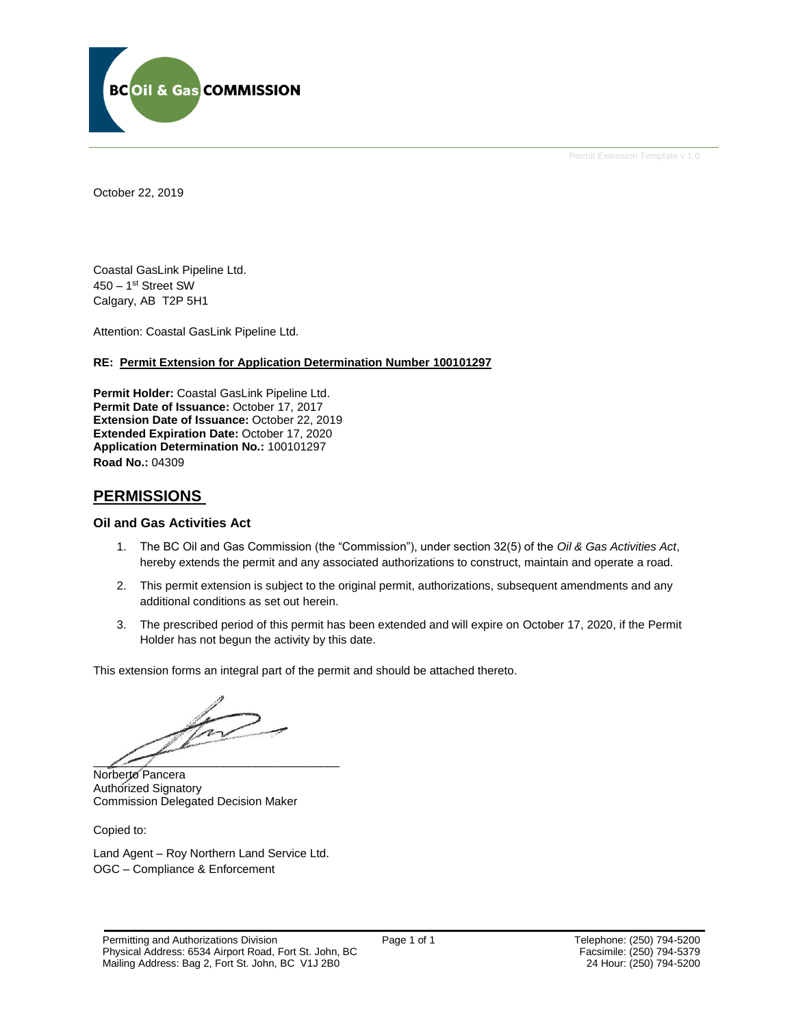

Permit Extension Template v 1.0

October 22, 2019

Coastal GasLink Pipeline Ltd. 450 – 1 st Street SW Calgary, AB T2P 5H1

Attention: Coastal GasLink Pipeline Ltd.

#### **RE: Permit Extension for Application Determination Number 100101297**

**Permit Holder:** Coastal GasLink Pipeline Ltd. Permit Date of Issuance: October 17, 2017 **Extension Date of Issuance:** October 22, 2019 **Extended Expiration Date:** October 17, 2020 **Application Determination No.:** 100101297 **Road No.:** 04309

## **PERMISSIONS**

#### **Oil and Gas Activities Act**

- 1. The BC Oil and Gas Commission (the "Commission"), under section 32(5) of the *Oil & Gas Activities Act*, hereby extends the permit and any associated authorizations to construct, maintain and operate a road.
- 2. This permit extension is subject to the original permit, authorizations, subsequent amendments and any additional conditions as set out herein.
- 3. The prescribed period of this permit has been extended and will expire on October 17, 2020, if the Permit Holder has not begun the activity by this date.

This extension forms an integral part of the permit and should be attached thereto.

 $\sqrt{2}$ 

Norberto Pancera Authorized Signatory Commission Delegated Decision Maker

Copied to:

Land Agent – Roy Northern Land Service Ltd. OGC – Compliance & Enforcement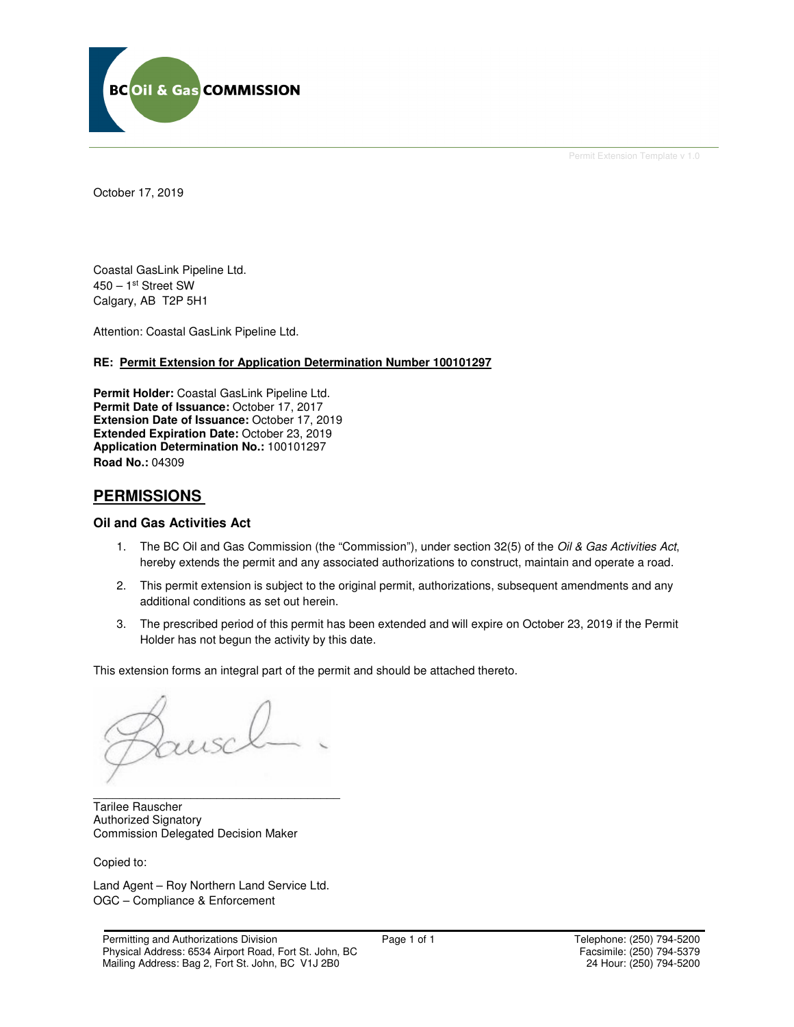

Permit Extension Template v 1.0

October 17, 2019

Coastal GasLink Pipeline Ltd. 450 – 1st Street SW Calgary, AB T2P 5H1

Attention: Coastal GasLink Pipeline Ltd.

#### **RE: Permit Extension for Application Determination Number 100101297**

**Permit Holder:** Coastal GasLink Pipeline Ltd. Permit Date of Issuance: October 17, 2017 **Extension Date of Issuance:** October 17, 2019 **Extended Expiration Date:** October 23, 2019 **Application Determination No.:** 100101297 **Road No.:** 04309

## **PERMISSIONS**

## **Oil and Gas Activities Act**

- 1. The BC Oil and Gas Commission (the "Commission"), under section 32(5) of the Oil & Gas Activities Act, hereby extends the permit and any associated authorizations to construct, maintain and operate a road.
- 2. This permit extension is subject to the original permit, authorizations, subsequent amendments and any additional conditions as set out herein.
- 3. The prescribed period of this permit has been extended and will expire on October 23, 2019 if the Permit Holder has not begun the activity by this date.

This extension forms an integral part of the permit and should be attached thereto.

\_\_\_\_\_\_\_\_\_\_\_\_\_\_\_\_\_\_\_\_\_\_\_\_\_\_\_\_\_\_\_\_\_\_\_\_\_\_ Tarilee Rauscher Authorized Signatory Commission Delegated Decision Maker

Copied to:

Land Agent – Roy Northern Land Service Ltd. OGC – Compliance & Enforcement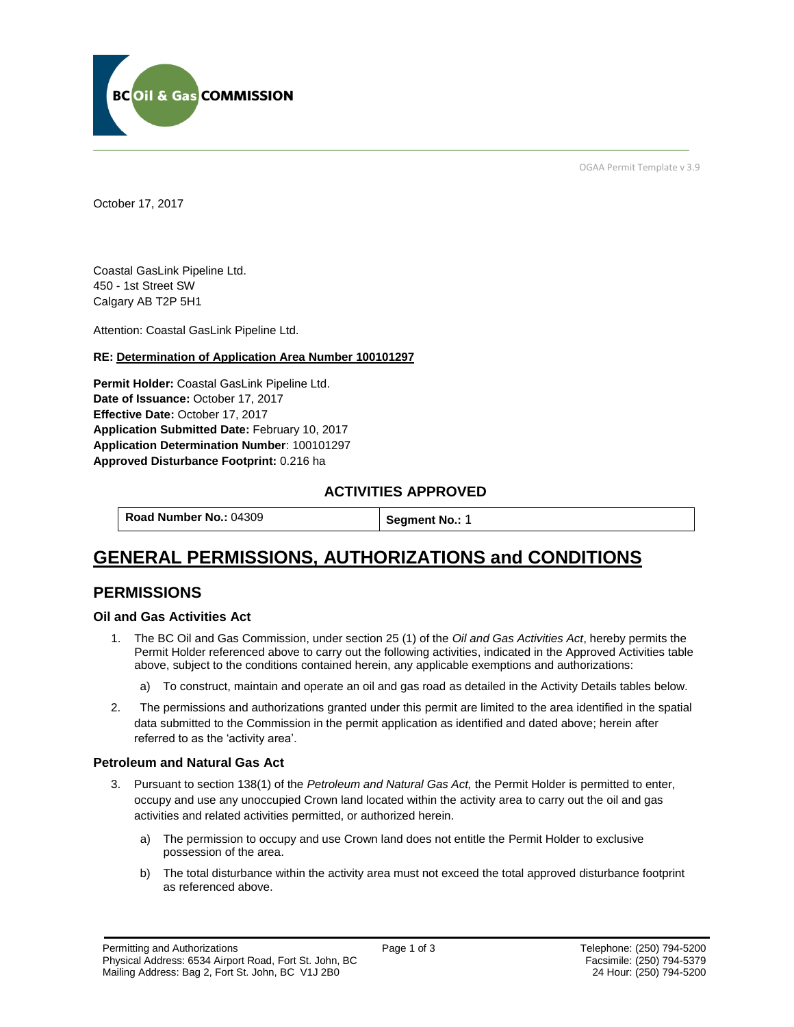

OGAA Permit Template v 3.9

October 17, 2017

Coastal GasLink Pipeline Ltd. 450 - 1st Street SW Calgary AB T2P 5H1

[Attention:](#page-2-0) Coastal GasLink Pipeline Ltd.

## **RE: Determination of Application Area Number 100101297**

**[Permit Holder:](#page-2-0)** Coastal GasLink Pipeline Ltd. **[Date of Issuance:](#page-2-0)** October 17, 2017 **[Effective Date:](#page-2-1)** October 17, 2017 **[Application Submitted Date:](#page-2-0)** February 10, 2017 **[Application Determination Number](#page-2-0)**: 100101297 **Approved Disturbance Footprint:** 0.216 ha

## **ACTIVITIES APPROVED**

**[Road Number No.:](#page-2-0) 04309 <b>[Segment No.:](https://bi.bcogc.ca/Application%20Processing/Interactive%20Reports/(BIL-041)%20AMS%20Decision%20Summary.aspx) 1** 

## **GENERAL PERMISSIONS, AUTHORIZATIONS and CONDITIONS**

## **PERMISSIONS**

## **Oil and Gas Activities Act**

- <span id="page-2-0"></span>1. The BC Oil and Gas Commission, under section 25 (1) of the *Oil and Gas Activities Act*, hereby permits the Permit Holder referenced above to carry out the following activities, indicated in the Approved Activities table above, subject to the conditions contained herein, any applicable exemptions and authorizations:
	- a) To construct, maintain and operate an oil and gas road as detailed in the Activity Details tables below.
- <span id="page-2-1"></span>2. The permissions and authorizations granted under this permit are limited to the area identified in the spatial data submitted to the Commission in the permit application as identified and dated above; herein after referred to as the 'activity area'.

## **Petroleum and Natural Gas Act**

- 3. Pursuant to section 138(1) of the *Petroleum and Natural Gas Act,* the Permit Holder is permitted to enter, occupy and use any unoccupied Crown land located within the activity area to carry out the oil and gas activities and related activities permitted, or authorized herein.
	- a) The permission to occupy and use Crown land does not entitle the Permit Holder to exclusive possession of the area.
	- b) The total disturbance within the activity area must not exceed the total approved disturbance footprint as referenced above.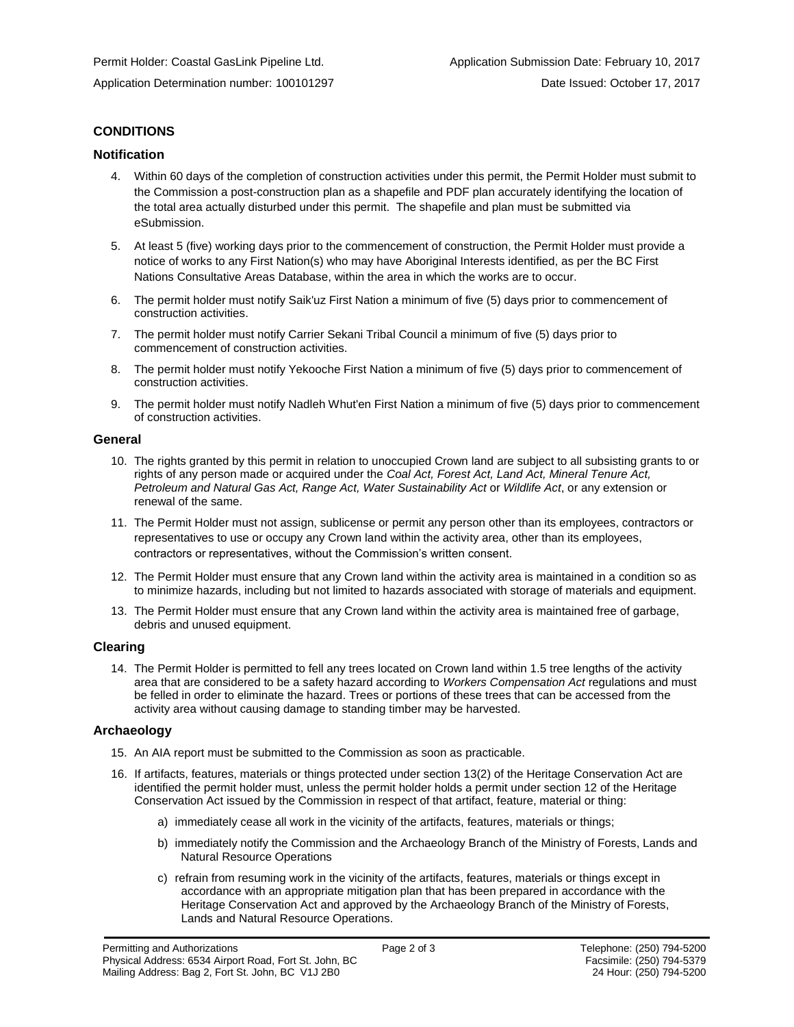## **CONDITIONS**

## **Notification**

- 4. Within 60 days of the completion of construction activities under this permit, the Permit Holder must submit to the Commission a post-construction plan as a shapefile and PDF plan accurately identifying the location of the total area actually disturbed under this permit. The shapefile and plan must be submitted via eSubmission.
- 5. At least 5 (five) working days prior to the commencement of construction, the Permit Holder must provide a notice of works to any First Nation(s) who may have Aboriginal Interests identified, as per the BC First Nations Consultative Areas Database, within the area in which the works are to occur.
- 6. The permit holder must notify Saik'uz First Nation a minimum of five (5) days prior to commencement of construction activities.
- 7. The permit holder must notify Carrier Sekani Tribal Council a minimum of five (5) days prior to commencement of construction activities.
- 8. The permit holder must notify Yekooche First Nation a minimum of five (5) days prior to commencement of construction activities.
- 9. The permit holder must notify Nadleh Whut'en First Nation a minimum of five (5) days prior to commencement of construction activities.

## **General**

- 10. The rights granted by this permit in relation to unoccupied Crown land are subject to all subsisting grants to or rights of any person made or acquired under the *Coal Act, Forest Act, Land Act, Mineral Tenure Act, Petroleum and Natural Gas Act, Range Act, Water Sustainability Act* or *Wildlife Act*, or any extension or renewal of the same.
- 11. The Permit Holder must not assign, sublicense or permit any person other than its employees, contractors or representatives to use or occupy any Crown land within the activity area, other than its employees, contractors or representatives, without the Commission's written consent.
- 12. The Permit Holder must ensure that any Crown land within the activity area is maintained in a condition so as to minimize hazards, including but not limited to hazards associated with storage of materials and equipment.
- 13. The Permit Holder must ensure that any Crown land within the activity area is maintained free of garbage, debris and unused equipment.

## **Clearing**

14. The Permit Holder is permitted to fell any trees located on Crown land within 1.5 tree lengths of the activity area that are considered to be a safety hazard according to *Workers Compensation Act* regulations and must be felled in order to eliminate the hazard. Trees or portions of these trees that can be accessed from the activity area without causing damage to standing timber may be harvested.

## **Archaeology**

- 15. An AIA report must be submitted to the Commission as soon as practicable.
- 16. If artifacts, features, materials or things protected under section 13(2) of the Heritage Conservation Act are identified the permit holder must, unless the permit holder holds a permit under section 12 of the Heritage Conservation Act issued by the Commission in respect of that artifact, feature, material or thing:
	- a) immediately cease all work in the vicinity of the artifacts, features, materials or things;
	- b) immediately notify the Commission and the Archaeology Branch of the Ministry of Forests, Lands and Natural Resource Operations
	- c) refrain from resuming work in the vicinity of the artifacts, features, materials or things except in accordance with an appropriate mitigation plan that has been prepared in accordance with the Heritage Conservation Act and approved by the Archaeology Branch of the Ministry of Forests, Lands and Natural Resource Operations.